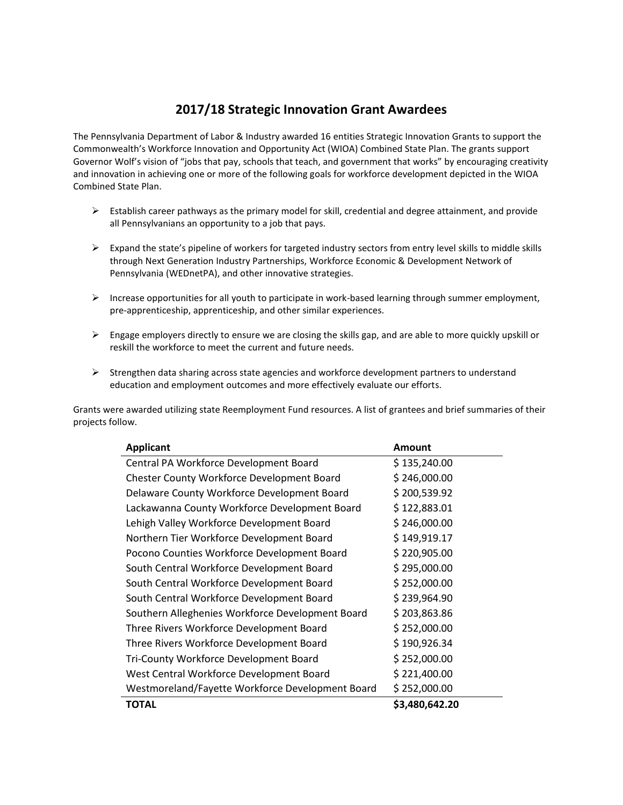## **2017/18 Strategic Innovation Grant Awardees**

The Pennsylvania Department of Labor & Industry awarded 16 entities Strategic Innovation Grants to support the Commonwealth's Workforce Innovation and Opportunity Act (WIOA) Combined State Plan. The grants support Governor Wolf's vision of "jobs that pay, schools that teach, and government that works" by encouraging creativity and innovation in achieving one or more of the following goals for workforce development depicted in the WIOA Combined State Plan.

- $\triangleright$  Establish career pathways as the primary model for skill, credential and degree attainment, and provide all Pennsylvanians an opportunity to a job that pays.
- $\triangleright$  Expand the state's pipeline of workers for targeted industry sectors from entry level skills to middle skills through Next Generation Industry Partnerships, Workforce Economic & Development Network of Pennsylvania (WEDnetPA), and other innovative strategies.
- $\triangleright$  Increase opportunities for all youth to participate in work-based learning through summer employment, pre-apprenticeship, apprenticeship, and other similar experiences.
- $\triangleright$  Engage employers directly to ensure we are closing the skills gap, and are able to more quickly upskill or reskill the workforce to meet the current and future needs.
- $\triangleright$  Strengthen data sharing across state agencies and workforce development partners to understand education and employment outcomes and more effectively evaluate our efforts.

Grants were awarded utilizing state Reemployment Fund resources. A list of grantees and brief summaries of their projects follow.

| <b>Applicant</b>                                  | <b>Amount</b>  |
|---------------------------------------------------|----------------|
| Central PA Workforce Development Board            | \$135,240.00   |
| <b>Chester County Workforce Development Board</b> | \$246,000.00   |
| Delaware County Workforce Development Board       | \$200,539.92   |
| Lackawanna County Workforce Development Board     | \$122,883.01   |
| Lehigh Valley Workforce Development Board         | \$246,000.00   |
| Northern Tier Workforce Development Board         | \$149,919.17   |
| Pocono Counties Workforce Development Board       | \$220,905.00   |
| South Central Workforce Development Board         | \$295,000.00   |
| South Central Workforce Development Board         | \$252,000.00   |
| South Central Workforce Development Board         | \$239,964.90   |
| Southern Alleghenies Workforce Development Board  | \$203,863.86   |
| Three Rivers Workforce Development Board          | \$252,000.00   |
| Three Rivers Workforce Development Board          | \$190,926.34   |
| Tri-County Workforce Development Board            | \$252,000.00   |
| West Central Workforce Development Board          | \$221,400.00   |
| Westmoreland/Fayette Workforce Development Board  | \$252,000.00   |
| <b>TOTAL</b>                                      | \$3,480,642.20 |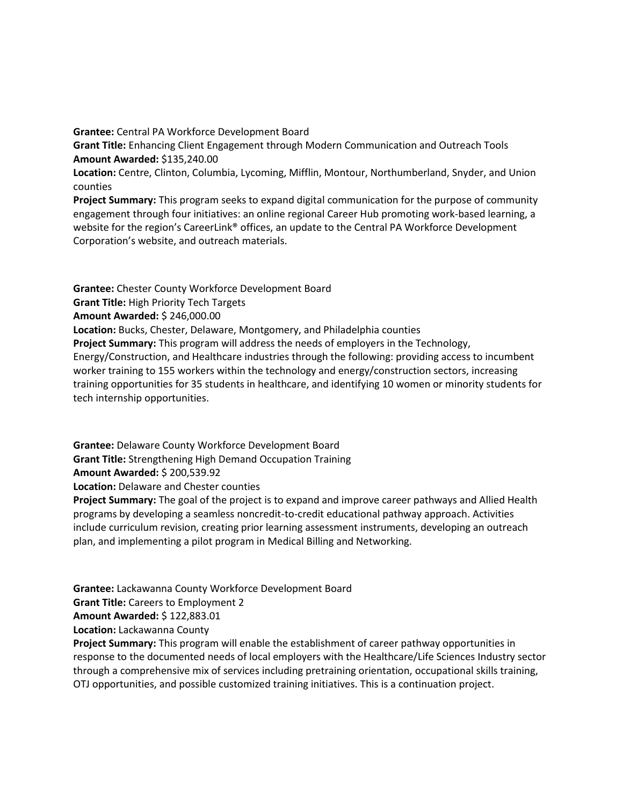**Grantee:** Central PA Workforce Development Board **Grant Title:** Enhancing Client Engagement through Modern Communication and Outreach Tools **Amount Awarded:** \$135,240.00 **Location:** Centre, Clinton, Columbia, Lycoming, Mifflin, Montour, Northumberland, Snyder, and Union counties

**Project Summary:** This program seeks to expand digital communication for the purpose of community engagement through four initiatives: an online regional Career Hub promoting work-based learning, a website for the region's CareerLink® offices, an update to the Central PA Workforce Development Corporation's website, and outreach materials.

**Grantee:** Chester County Workforce Development Board **Grant Title:** High Priority Tech Targets **Amount Awarded:** \$ 246,000.00 **Location:** Bucks, Chester, Delaware, Montgomery, and Philadelphia counties **Project Summary:** This program will address the needs of employers in the Technology, Energy/Construction, and Healthcare industries through the following: providing access to incumbent worker training to 155 workers within the technology and energy/construction sectors, increasing training opportunities for 35 students in healthcare, and identifying 10 women or minority students for tech internship opportunities.

**Grantee:** Delaware County Workforce Development Board **Grant Title:** Strengthening High Demand Occupation Training **Amount Awarded:** \$ 200,539.92 **Location:** Delaware and Chester counties **Project Summary:** The goal of the project is to expand and improve career pathways and Allied Health

programs by developing a seamless noncredit-to-credit educational pathway approach. Activities include curriculum revision, creating prior learning assessment instruments, developing an outreach plan, and implementing a pilot program in Medical Billing and Networking.

**Grantee:** Lackawanna County Workforce Development Board **Grant Title:** Careers to Employment 2 **Amount Awarded:** \$ 122,883.01 **Location:** Lackawanna County

**Project Summary:** This program will enable the establishment of career pathway opportunities in response to the documented needs of local employers with the Healthcare/Life Sciences Industry sector through a comprehensive mix of services including pretraining orientation, occupational skills training, OTJ opportunities, and possible customized training initiatives. This is a continuation project.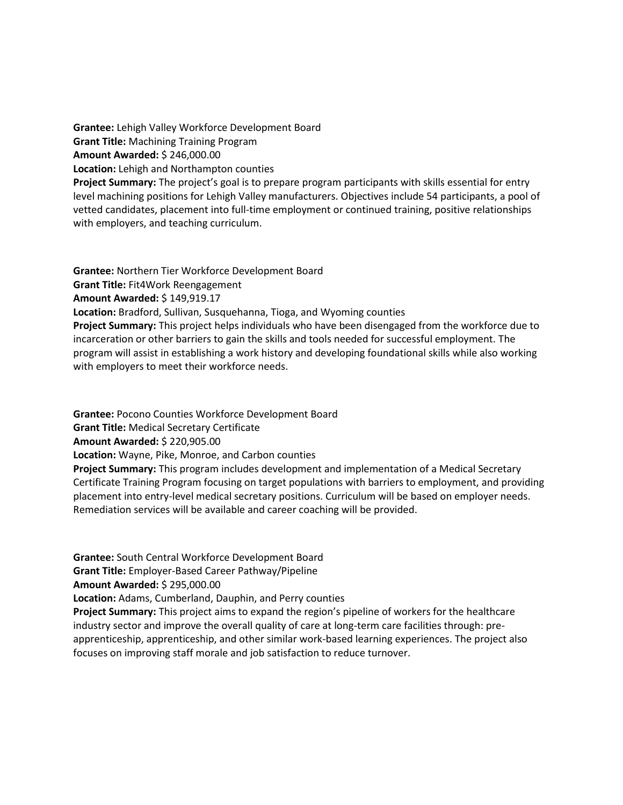**Grantee:** Lehigh Valley Workforce Development Board **Grant Title:** Machining Training Program **Amount Awarded:** \$ 246,000.00 **Location:** Lehigh and Northampton counties **Project Summary:** The project's goal is to prepare program participants with skills essential for entry level machining positions for Lehigh Valley manufacturers. Objectives include 54 participants, a pool of vetted candidates, placement into full-time employment or continued training, positive relationships with employers, and teaching curriculum.

**Grantee:** Northern Tier Workforce Development Board **Grant Title:** Fit4Work Reengagement **Amount Awarded:** \$ 149,919.17 **Location:** Bradford, Sullivan, Susquehanna, Tioga, and Wyoming counties **Project Summary:** This project helps individuals who have been disengaged from the workforce due to incarceration or other barriers to gain the skills and tools needed for successful employment. The program will assist in establishing a work history and developing foundational skills while also working with employers to meet their workforce needs.

**Grantee:** Pocono Counties Workforce Development Board **Grant Title:** Medical Secretary Certificate **Amount Awarded:** \$ 220,905.00 **Location:** Wayne, Pike, Monroe, and Carbon counties **Project Summary:** This program includes development and implementation of a Medical Secretary Certificate Training Program focusing on target populations with barriers to employment, and providing placement into entry-level medical secretary positions. Curriculum will be based on employer needs. Remediation services will be available and career coaching will be provided.

**Grantee:** South Central Workforce Development Board

**Grant Title:** Employer-Based Career Pathway/Pipeline

**Amount Awarded:** \$ 295,000.00

**Location:** Adams, Cumberland, Dauphin, and Perry counties

**Project Summary:** This project aims to expand the region's pipeline of workers for the healthcare industry sector and improve the overall quality of care at long-term care facilities through: preapprenticeship, apprenticeship, and other similar work-based learning experiences. The project also focuses on improving staff morale and job satisfaction to reduce turnover.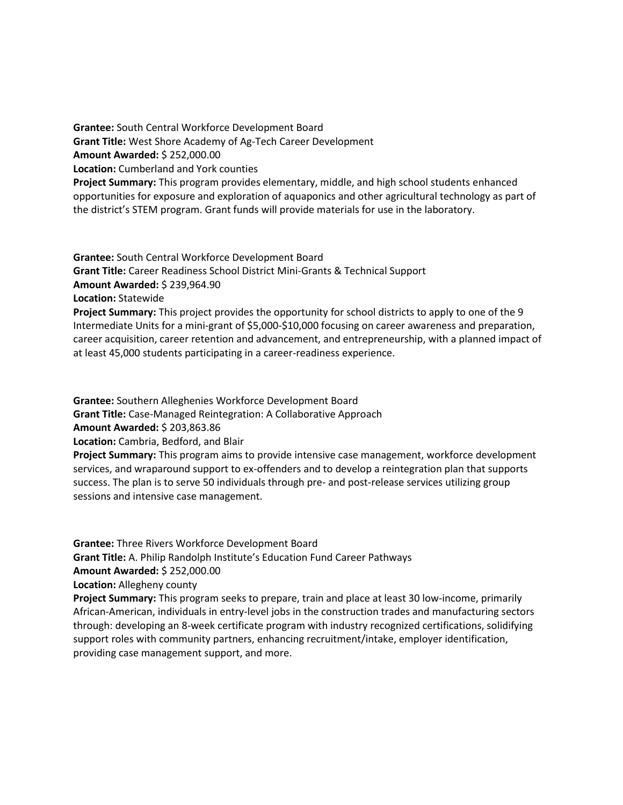**Grantee:** South Central Workforce Development Board **Grant Title:** West Shore Academy of Ag-Tech Career Development **Amount Awarded:** \$ 252,000.00 **Location:** Cumberland and York counties **Project Summary:** This program provides elementary, middle, and high school students enhanced opportunities for exposure and exploration of aquaponics and other agricultural technology as part of the district's STEM program. Grant funds will provide materials for use in the laboratory.

**Grantee:** South Central Workforce Development Board **Grant Title:** Career Readiness School District Mini-Grants & Technical Support **Amount Awarded:** \$ 239,964.90 **Location:** Statewide **Project Summary:** This project provides the opportunity for school districts to apply to one of the 9 Intermediate Units for a mini-grant of \$5,000-\$10,000 focusing on career awareness and preparation,

career acquisition, career retention and advancement, and entrepreneurship, with a planned impact of at least 45,000 students participating in a career-readiness experience.

**Grantee:** Southern Alleghenies Workforce Development Board

**Grant Title:** Case-Managed Reintegration: A Collaborative Approach

**Amount Awarded:** \$ 203,863.86

**Location:** Cambria, Bedford, and Blair

**Project Summary:** This program aims to provide intensive case management, workforce development services, and wraparound support to ex-offenders and to develop a reintegration plan that supports success. The plan is to serve 50 individuals through pre- and post-release services utilizing group sessions and intensive case management.

**Grantee:** Three Rivers Workforce Development Board **Grant Title:** A. Philip Randolph Institute's Education Fund Career Pathways **Amount Awarded:** \$ 252,000.00 **Location:** Allegheny county **Project Summary:** This program seeks to prepare, train and place at least 30 low-income, primarily African-American, individuals in entry-level jobs in the construction trades and manufacturing sectors through: developing an 8-week certificate program with industry recognized certifications, solidifying support roles with community partners, enhancing recruitment/intake, employer identification, providing case management support, and more.